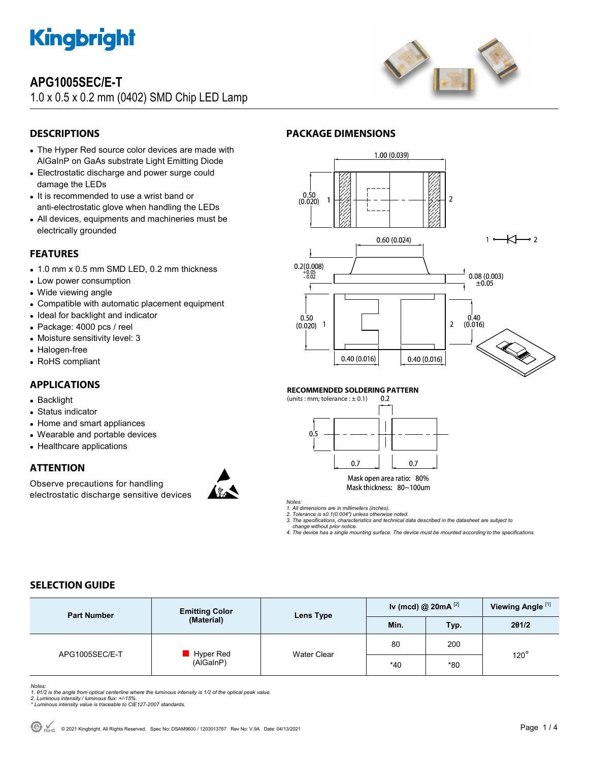

## **APG1005SEC/E-T**

1.0 x 0.5 x 0.2 mm (0402) SMD Chip LED Lamp



## **DESCRIPTIONS**

- The Hyper Red source color devices are made with AlGaInP on GaAs substrate Light Emitting Diode
- Electrostatic discharge and power surge could damage the LEDs
- It is recommended to use a wrist band or anti-electrostatic glove when handling the LEDs
- All devices, equipments and machineries must be electrically grounded

#### **FEATURES**

- 1.0 mm x 0.5 mm SMD LED, 0.2 mm thickness
- Low power consumption
- Wide viewing angle
- Compatible with automatic placement equipment
- Ideal for backlight and indicator
- Package: 4000 pcs / reel
- Moisture sensitivity level: 3
- Halogen-free
- RoHS compliant

### **APPLICATIONS**

- Backlight
- Status indicator
- Home and smart appliances
- Wearable and portable devices
- Healthcare applications

### **ATTENTION**

Observe precautions for handling electrostatic discharge sensitive devices





#### **RECOMMENDED SOLDERING PATTERN**

**PACKAGE DIMENSIONS** 



Mask open area ratio: 80% Mask thickness: 80~100um

*Notes:* 

*1. All dimensions are in millimeters (inches).* 

*2. Tolerance is ±0.1(0.004") unless otherwise noted. 3. The specifications, characteristics and technical data described in the datasheet are subject to* 

 *change without prior notice.* 

*4. The device has a single mounting surface. The device must be mounted according to the specifications.* 

### **SELECTION GUIDE**

| <b>Part Number</b> | <b>Emitting Color</b><br>(Material) | Lens Type          | Iv (mcd) @ $20mA^{[2]}$ |       | Viewing Angle <sup>[1]</sup> |  |
|--------------------|-------------------------------------|--------------------|-------------------------|-------|------------------------------|--|
|                    |                                     |                    | Min.                    | Typ.  | 201/2                        |  |
| APG1005SEC/E-T     | Hyper Red<br>(AlGaInP)              | <b>Water Clear</b> | 80                      | 200   | $120^\circ$                  |  |
|                    |                                     |                    | $*40$                   | $*80$ |                              |  |

*Notes:* 

*1. θ1/2 is the angle from optical centerline where the luminous intensity is 1/2 of the optical peak value.* 

*2. Luminous intensity / luminous flux: +/-15%. \* Luminous intensity value is traceable to CIE127-2007 standards.*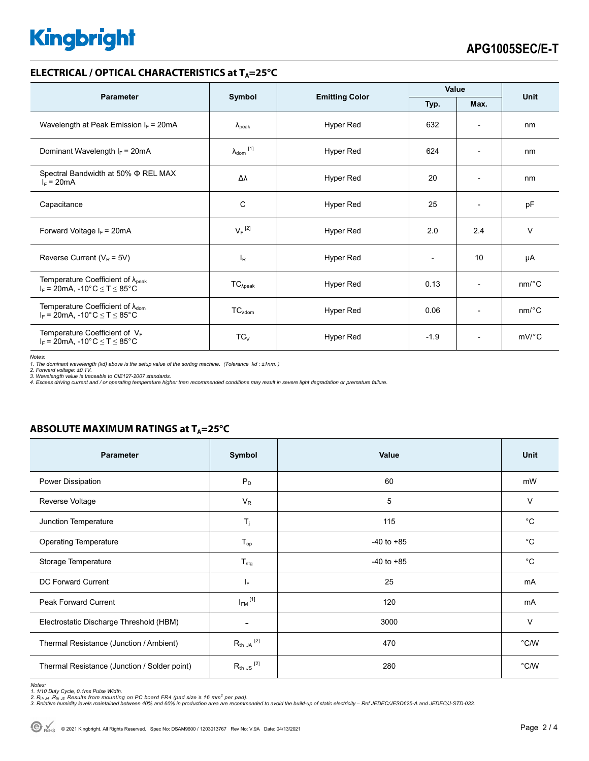# **Kingbright**

#### **ELECTRICAL / OPTICAL CHARACTERISTICS at T<sub>A</sub>=25°C**

| <b>Parameter</b>                                                                                               | Symbol                     | <b>Emitting Color</b> | Value  |                              | <b>Unit</b>           |
|----------------------------------------------------------------------------------------------------------------|----------------------------|-----------------------|--------|------------------------------|-----------------------|
|                                                                                                                |                            |                       | Typ.   | Max.                         |                       |
| Wavelength at Peak Emission $I_F$ = 20mA                                                                       | $\lambda_{\rm peak}$       | Hyper Red             | 632    | $\overline{\phantom{0}}$     | nm                    |
| Dominant Wavelength $I_F$ = 20mA                                                                               | $\lambda_{\text{dom}}$ [1] | Hyper Red             | 624    | $\overline{\phantom{a}}$     | nm                    |
| Spectral Bandwidth at 50% Φ REL MAX<br>$I_F = 20mA$                                                            | Δλ                         | Hyper Red             | 20     | $\overline{a}$               | nm                    |
| Capacitance                                                                                                    | C                          | Hyper Red             | 25     | $\overline{\phantom{0}}$     | pF                    |
| Forward Voltage $I_F$ = 20mA                                                                                   | $V_F$ <sup>[2]</sup>       | Hyper Red             | 2.0    | 2.4                          | $\vee$                |
| Reverse Current ( $V_R$ = 5V)                                                                                  | $I_{\rm R}$                | Hyper Red             |        | 10                           | μA                    |
| Temperature Coefficient of $\lambda_{peak}$<br>$I_F$ = 20mA, -10°C $\leq T \leq 85$ °C                         | $TC_{\lambda peak}$        | Hyper Red             | 0.13   | $\qquad \qquad \blacksquare$ | $nm$ <sup>o</sup> $C$ |
| Temperature Coefficient of $\lambda_{\text{dom}}$<br>$I_F = 20$ mA, -10°C $\le T \le 85$ °C                    | $TC_{\lambda dom}$         | Hyper Red             | 0.06   | $\overline{\phantom{a}}$     | nm/°C                 |
| Temperature Coefficient of $V_F$<br>$I_F = 20 \text{mA}, -10^{\circ} \text{C} \leq T \leq 85^{\circ} \text{C}$ | $TC_{V}$                   | Hyper Red             | $-1.9$ | $\overline{\phantom{a}}$     | $mV$ °C               |

*Notes:* 

*1. The dominant wavelength (*λ*d) above is the setup value of the sorting machine. (Tolerance* λ*d : ±1nm. ) 2. Forward voltage: ±0.1V.* 

3. Wavelength value is traceable to CIE127-2007 standards.<br>4. Excess driving current and / or operating temperature higher than recommended conditions may result in severe light degradation or premature failure.

#### **ABSOLUTE MAXIMUM RATINGS at T<sub>A</sub>=25°C**

| <b>Parameter</b>                             | Symbol                  | Value          | <b>Unit</b>    |
|----------------------------------------------|-------------------------|----------------|----------------|
| Power Dissipation                            | $P_D$                   | 60             | mW             |
| Reverse Voltage                              | $V_R$                   | 5              | V              |
| Junction Temperature                         | $T_{j}$                 | 115            | $^{\circ}$ C   |
| <b>Operating Temperature</b>                 | $T_{op}$                | $-40$ to $+85$ | $^{\circ}C$    |
| Storage Temperature                          | $T_{\text{stg}}$        | $-40$ to $+85$ | $^{\circ}C$    |
| <b>DC Forward Current</b>                    | ΙF                      | 25             | mA             |
| <b>Peak Forward Current</b>                  | $I_{FM}$ <sup>[1]</sup> | 120            | mA             |
| Electrostatic Discharge Threshold (HBM)      | ۰                       | 3000           | V              |
| Thermal Resistance (Junction / Ambient)      | $R_{th}$ JA $^{[2]}$    | 470            | °C/W           |
| Thermal Resistance (Junction / Solder point) | $R_{th}$ JS $^{[2]}$    | 280            | $^{\circ}$ C/W |

Notes:<br>1. 1/10 Duty Cycle, 0.1ms Pulse Width.<br>2. R<sub>th JA</sub> ,R<sub>th JS</sub> Results from mounting on PC board FR4 (pad size ≥ 16 mm<sup>2</sup> per pad).<br>3. Relative humidity levels maintained between 40% and 60% in production area are re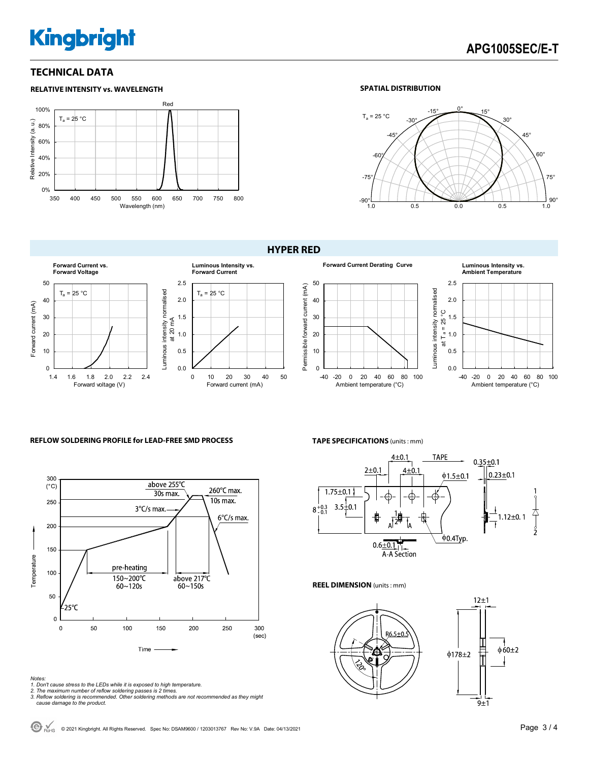## **Kingbright**

#### **TECHNICAL DATA**



#### **SPATIAL DISTRIBUTION**







#### **REFLOW SOLDERING PROFILE for LEAD-FREE SMD PROCESS <b>TAPE SPECIFICATIONS** (units : mm)



- *Notes: 1. Don't cause stress to the LEDs while it is exposed to high temperature. 2. The maximum number of reflow soldering passes is 2 times.*
- 
- *3. Reflow soldering is recommended. Other soldering methods are not recommended as they might cause damage to the product.*



#### **REEL DIMENSION** (units : mm)